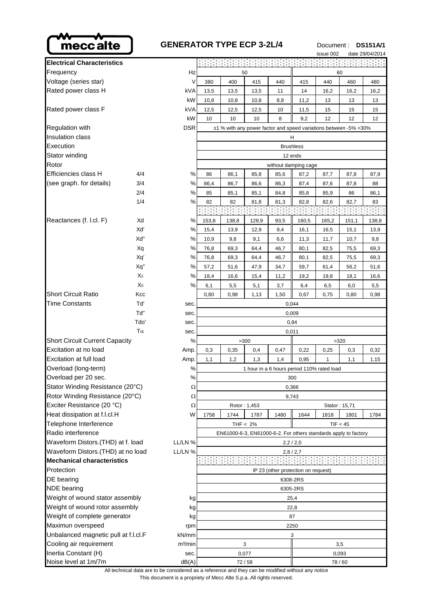

| <b>GENERATOR TYPE ECP 3-2L/4</b> |                                                                  |      |      |      |      | issue 002 | Document: DS151A/1 | date 29/04/2014 |  |  |  |
|----------------------------------|------------------------------------------------------------------|------|------|------|------|-----------|--------------------|-----------------|--|--|--|
|                                  |                                                                  |      |      |      |      |           |                    |                 |  |  |  |
| Hz                               | 50                                                               |      |      |      | 60   |           |                    |                 |  |  |  |
| V                                | 380                                                              | 400  | 415  | 440  | 415  | 440       | 460                | 480             |  |  |  |
| <b>kVA</b>                       | 13,5                                                             | 13,5 | 13,5 | 11   | 14   | 16,2      | 16.2               | 16,2            |  |  |  |
| kW                               | 10,8                                                             | 10,8 | 10,8 | 8,8  | 11,2 | 13        | 13                 | 13              |  |  |  |
| kVA                              | 12,5                                                             | 12,5 | 12,5 | 10   | 11,5 | 15        | 15                 | 15              |  |  |  |
| kW                               | 10                                                               | 10   | 10   | 8    | 9,2  | 12        | 12                 | 12              |  |  |  |
| <b>DSR</b>                       | ±1 % with any power factor and speed variations between -5% +30% |      |      |      |      |           |                    |                 |  |  |  |
|                                  | н                                                                |      |      |      |      |           |                    |                 |  |  |  |
|                                  | <b>Brushless</b>                                                 |      |      |      |      |           |                    |                 |  |  |  |
|                                  | 12 ends                                                          |      |      |      |      |           |                    |                 |  |  |  |
|                                  | without damping cage                                             |      |      |      |      |           |                    |                 |  |  |  |
| %                                | 86                                                               | 86,1 | 85,8 | 85,6 | 87,2 | 87,7      | 87,8               | 87,9            |  |  |  |
| %                                | 86,4                                                             | 86,7 | 86,6 | 86,3 | 87,4 | 87,6      | 87,8               | 88              |  |  |  |
| %                                | 85                                                               | 85,1 | 85,1 | 84,8 | 85,8 | 85,9      | 86                 | 86,1            |  |  |  |
| %                                | 82                                                               | 82   | 81,8 | 81,3 | 82,8 | 82,6      | 82,7               | 83              |  |  |  |

| LYCOUUDII                                     |                |                     |                                            |       |       |       | biusiliess                          |       |                                                                 |       |  |
|-----------------------------------------------|----------------|---------------------|--------------------------------------------|-------|-------|-------|-------------------------------------|-------|-----------------------------------------------------------------|-------|--|
| Stator winding                                |                |                     | 12 ends                                    |       |       |       |                                     |       |                                                                 |       |  |
| Rotor                                         |                |                     |                                            |       |       |       | without damping cage                |       |                                                                 |       |  |
| Efficiencies class H                          | 4/4            | ℅                   | 86                                         | 86,1  | 85,8  | 85,6  | 87,2                                | 87,7  | 87,8                                                            | 87,9  |  |
| (see graph. for details)                      | 3/4            | ℅                   | 86,4                                       | 86,7  | 86,6  | 86,3  | 87,4                                | 87,6  | 87,8                                                            | 88    |  |
|                                               | 2/4            | $\%$                | 85                                         | 85,1  | 85,1  | 84,8  | 85,8                                | 85,9  | 86                                                              | 86,1  |  |
|                                               | 1/4            | %                   | 82                                         | 82    | 81,8  | 81,3  | 82,8                                | 82,6  | 82,7                                                            | 83    |  |
|                                               |                |                     |                                            |       |       |       |                                     |       |                                                                 |       |  |
| Reactances (f. l.cl. F)                       | Xd             | %                   | 153,8                                      | 138,8 | 128,9 | 93,5  | 160,5                               | 165,2 | 151,1                                                           | 138,8 |  |
|                                               | Xď             | %                   | 15,4                                       | 13,9  | 12,9  | 9,4   | 16,1                                | 16,5  | 15,1                                                            | 13,9  |  |
|                                               | Xď"            | %                   | 10,9                                       | 9,8   | 9,1   | 6,6   | 11,3                                | 11,7  | 10,7                                                            | 9,8   |  |
|                                               | Xq             | %                   | 76,8                                       | 69,3  | 64,4  | 46,7  | 80,1                                | 82,5  | 75,5                                                            | 69,3  |  |
|                                               | Xq'            | %                   | 76,8                                       | 69,3  | 64,4  | 46,7  | 80,1                                | 82,5  | 75,5                                                            | 69,3  |  |
|                                               | Xq"            | $\%$                | 57,2                                       | 51,6  | 47,9  | 34,7  | 59,7                                | 61,4  | 56,2                                                            | 51,6  |  |
|                                               | X <sub>2</sub> | %                   | 18,4                                       | 16,6  | 15,4  | 11,2  | 19,2                                | 19,8  | 18,1                                                            | 16,6  |  |
|                                               | X <sub>0</sub> | %                   | 6,1                                        | 5,5   | 5,1   | 3,7   | 6,4                                 | 6,5   | 6,0                                                             | 5,5   |  |
| <b>Short Circuit Ratio</b>                    | Kcc            |                     | 0,80                                       | 0,98  | 1,13  | 1,50  | 0,67                                | 0,75  | 0,80                                                            | 0,98  |  |
| <b>Time Constants</b>                         | Tď             | sec.                | 0,044                                      |       |       |       |                                     |       |                                                                 |       |  |
|                                               | Tď"            | sec.                | 0,009                                      |       |       |       |                                     |       |                                                                 |       |  |
|                                               | Tdo'           | sec.                | 0,84                                       |       |       |       |                                     |       |                                                                 |       |  |
|                                               | sec.           | 0,011               |                                            |       |       |       |                                     |       |                                                                 |       |  |
| <b>Short Circuit Current Capacity</b>         |                | %                   |                                            |       | >300  |       |                                     |       | >320                                                            |       |  |
| Excitation at no load                         |                | Amp.                | 0,3                                        | 0,35  | 0,4   | 0,47  | 0,22                                | 0,25  | 0,3                                                             | 0,32  |  |
| Excitation at full load                       |                | Amp.                | 1,1                                        | 1,2   | 1,3   | 1,4   | 0,95                                | 1     | 1,1                                                             | 1,15  |  |
| Overload (long-term)                          |                | %                   | 1 hour in a 6 hours period 110% rated load |       |       |       |                                     |       |                                                                 |       |  |
| Overload per 20 sec.                          |                | %                   | 300                                        |       |       |       |                                     |       |                                                                 |       |  |
| Stator Winding Resistance (20°C)              |                | Ω                   | 0,366                                      |       |       |       |                                     |       |                                                                 |       |  |
| Rotor Winding Resistance (20°C)               |                | Ω                   | 9,743                                      |       |       |       |                                     |       |                                                                 |       |  |
| Exciter Resistance (20 °C)                    |                | Ω                   | Rotor: 1,453<br>Stator: 15,71              |       |       |       |                                     |       |                                                                 |       |  |
| Heat dissipation at f.l.cl.H                  |                | W                   | 1758                                       | 1744  | 1787  | 1480  | 1644                                | 1818  | 1801                                                            | 1784  |  |
| Telephone Interference                        |                |                     | THF $< 2\%$<br>TIF < 45                    |       |       |       |                                     |       |                                                                 |       |  |
| Radio interference                            |                |                     |                                            |       |       |       |                                     |       | EN61000-6-3, EN61000-6-2. For others standards apply to factory |       |  |
| Waveform Distors.(THD) at f. load             |                | LL/LN %             | 2,2/2,0                                    |       |       |       |                                     |       |                                                                 |       |  |
| Waveform Distors.(THD) at no load<br>LL/LN %  |                | 2,8/2,7             |                                            |       |       |       |                                     |       |                                                                 |       |  |
| <b>Mechanical characteristics</b>             |                |                     |                                            |       |       |       |                                     |       |                                                                 |       |  |
| Protection                                    |                |                     |                                            |       |       |       | IP 23 (other protection on request) |       |                                                                 |       |  |
| DE bearing                                    |                |                     |                                            |       |       |       | 6308-2RS                            |       |                                                                 |       |  |
| <b>NDE</b> bearing                            |                |                     | 6305-2RS                                   |       |       |       |                                     |       |                                                                 |       |  |
| Weight of wound stator assembly<br>kg         |                | 25,4                |                                            |       |       |       |                                     |       |                                                                 |       |  |
| Weight of wound rotor assembly<br>kg          |                | 22,8                |                                            |       |       |       |                                     |       |                                                                 |       |  |
| Weight of complete generator<br>kg            |                | 87                  |                                            |       |       |       |                                     |       |                                                                 |       |  |
| Maximun overspeed                             |                | rpm                 |                                            |       |       |       | 2250                                |       |                                                                 |       |  |
| Unbalanced magnetic pull at f.l.cl.F<br>kN/mm |                | 3                   |                                            |       |       |       |                                     |       |                                                                 |       |  |
| Cooling air requirement                       |                | m <sup>3</sup> /min | 3<br>3,5                                   |       |       |       |                                     |       |                                                                 |       |  |
| Inertia Constant (H)                          |                | sec.                |                                            |       | 0,077 | 0,093 |                                     |       |                                                                 |       |  |

**Electrical Characteristics** Frequency 50 Voltage (series star)  $V$  380  $400$ Rated power class H  $kVA$  13,5 13,5 Rated power class F  $kVA$  12,5 12,5 Regulation with  $\overline{DSR}$   $\overline{z}$  +1 % with any power factor  $\overline{DSR}$ **Insulation class** Execution Stator winding Efficiencies class H 4/4 (see graph. for details) 3/4 Reactances (f. l.cl. F) Xd

| 1,50                                                 | 0,67                                | 0,75                                                                 |                                                                                                    |  |  |  |  |
|------------------------------------------------------|-------------------------------------|----------------------------------------------------------------------|----------------------------------------------------------------------------------------------------|--|--|--|--|
| 0,044<br>sec.                                        |                                     |                                                                      |                                                                                                    |  |  |  |  |
| 0,009<br>sec.                                        |                                     |                                                                      |                                                                                                    |  |  |  |  |
| 0,84<br>sec.                                         |                                     |                                                                      |                                                                                                    |  |  |  |  |
|                                                      | 0,011                               |                                                                      |                                                                                                    |  |  |  |  |
| >300                                                 |                                     |                                                                      |                                                                                                    |  |  |  |  |
| 0,47                                                 | 0,22                                | 0,25                                                                 |                                                                                                    |  |  |  |  |
| 1,4                                                  | 0,95                                | 1                                                                    |                                                                                                    |  |  |  |  |
| $\%$<br>1 hour in a 6 hours period 110% rated load   |                                     |                                                                      |                                                                                                    |  |  |  |  |
| 300                                                  |                                     |                                                                      |                                                                                                    |  |  |  |  |
| Ω<br>0,366                                           |                                     |                                                                      |                                                                                                    |  |  |  |  |
| Ω<br>9,743                                           |                                     |                                                                      |                                                                                                    |  |  |  |  |
| Ω<br>Rotor: 1,453<br>Stator: 15                      |                                     |                                                                      |                                                                                                    |  |  |  |  |
| 1480                                                 | 1644                                | 1818                                                                 |                                                                                                    |  |  |  |  |
| THF $< 2\%$<br>TIF < 4                               |                                     |                                                                      |                                                                                                    |  |  |  |  |
| EN61000-6-3, EN61000-6-2. For others standards apply |                                     |                                                                      |                                                                                                    |  |  |  |  |
| LL/LN %<br>2,2/2,0                                   |                                     |                                                                      |                                                                                                    |  |  |  |  |
| 2,8/2,7                                              |                                     |                                                                      |                                                                                                    |  |  |  |  |
|                                                      |                                     |                                                                      |                                                                                                    |  |  |  |  |
|                                                      | IP 23 (other protection on request) |                                                                      |                                                                                                    |  |  |  |  |
| 6308-2RS                                             |                                     |                                                                      |                                                                                                    |  |  |  |  |
|                                                      | 6305-2RS                            |                                                                      |                                                                                                    |  |  |  |  |
| 25,4                                                 |                                     |                                                                      |                                                                                                    |  |  |  |  |
| 22,8                                                 |                                     |                                                                      |                                                                                                    |  |  |  |  |
| 87<br>kg                                             |                                     |                                                                      |                                                                                                    |  |  |  |  |
| 2250                                                 |                                     |                                                                      |                                                                                                    |  |  |  |  |
| 3                                                    |                                     |                                                                      |                                                                                                    |  |  |  |  |
| 3                                                    |                                     |                                                                      | 3,5                                                                                                |  |  |  |  |
| 0,077                                                |                                     |                                                                      |                                                                                                    |  |  |  |  |
| 72/58<br>78/60                                       |                                     |                                                                      |                                                                                                    |  |  |  |  |
|                                                      |                                     | This document is a propriety of Mecc Alte S.p.a All rights reserved. | All technical data are to be considered as a reference and they can be modified without any notice |  |  |  |  |

is document is a propriety of Mecc Alte S.p.a..All rights reserved.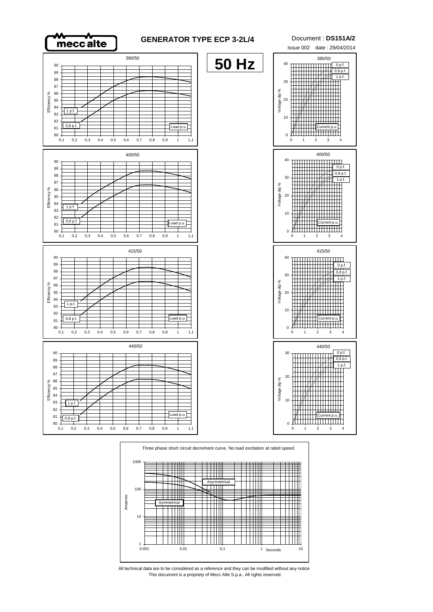

## **GENERATOR TYPE ECP 3-2L/4** Document : **DS151A/2**

**50 Hz**





0,1 0,2 0,3 0,4 0,5 0,6 0,7 0,8 0,9 1 1,1



0,1 0,2 0,3 0,4 0,5 0,6 0,7 0,8 0,9 1 1,1

 $1 p.f$ 

 $0,8p$ 

Efficiency %

Efficiency %





 $\sqrt{\frac{2}{n}}$  Load p.u.

This document is a propriety of Mecc Alte S.p.a.. All rights reserved. All technical data are to be considered as a reference and they can be modified without any notice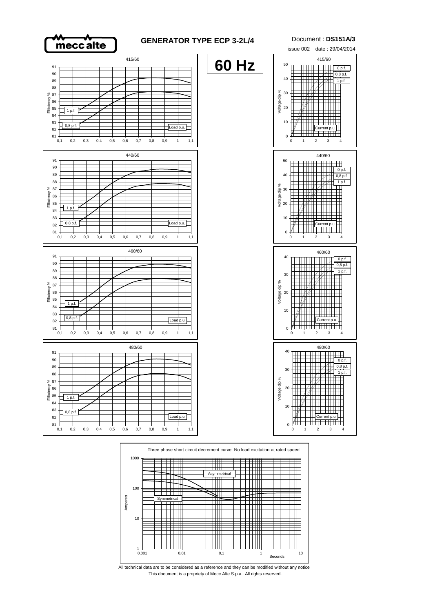



This document is a propriety of Mecc Alte S.p.a.. All rights reserved. All technical data are to be considered as a reference and they can be modified without any notice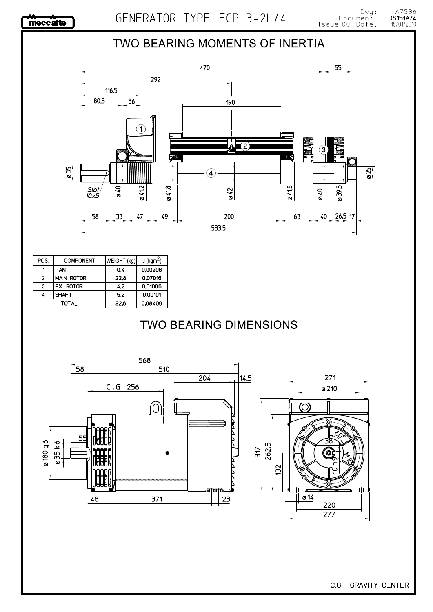A7536<br>**DS151A/4**